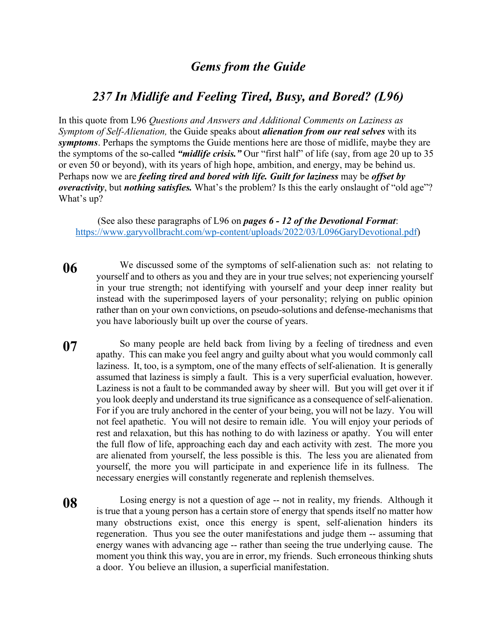## *Gems from the Guide*

## *237 In Midlife and Feeling Tired, Busy, and Bored? (L96)*

In this quote from L96 *Questions and Answers and Additional Comments on Laziness as Symptom of Self-Alienation,* the Guide speaks about *alienation from our real selves* with its *symptoms*. Perhaps the symptoms the Guide mentions here are those of midlife, maybe they are the symptoms of the so-called *"midlife crisis."* Our "first half" of life (say, from age 20 up to 35 or even 50 or beyond), with its years of high hope, ambition, and energy, may be behind us. Perhaps now we are *feeling tired and bored with life. Guilt for laziness* may be *offset by overactivity*, but *nothing satisfies.* What's the problem? Is this the early onslaught of "old age"? What's up?

(See also these paragraphs of L96 on *pages 6 - 12 of the Devotional Format*: https://www.garyvollbracht.com/wp-content/uploads/2022/03/L096GaryDevotional.pdf)

- **06** We discussed some of the symptoms of self-alienation such as: not relating to yourself and to others as you and they are in your true selves; not experiencing yourself in your true strength; not identifying with yourself and your deep inner reality but instead with the superimposed layers of your personality; relying on public opinion rather than on your own convictions, on pseudo-solutions and defense-mechanisms that you have laboriously built up over the course of years.
- **07** So many people are held back from living by a feeling of tiredness and even apathy. This can make you feel angry and guilty about what you would commonly call laziness. It, too, is a symptom, one of the many effects of self-alienation. It is generally assumed that laziness is simply a fault. This is a very superficial evaluation, however. Laziness is not a fault to be commanded away by sheer will. But you will get over it if you look deeply and understand its true significance as a consequence of self-alienation. For if you are truly anchored in the center of your being, you will not be lazy. You will not feel apathetic. You will not desire to remain idle. You will enjoy your periods of rest and relaxation, but this has nothing to do with laziness or apathy. You will enter the full flow of life, approaching each day and each activity with zest. The more you are alienated from yourself, the less possible is this. The less you are alienated from yourself, the more you will participate in and experience life in its fullness. The necessary energies will constantly regenerate and replenish themselves.
- **08** Losing energy is not a question of age -- not in reality, my friends. Although it is true that a young person has a certain store of energy that spends itself no matter how many obstructions exist, once this energy is spent, self-alienation hinders its regeneration. Thus you see the outer manifestations and judge them -- assuming that energy wanes with advancing age -- rather than seeing the true underlying cause. The moment you think this way, you are in error, my friends. Such erroneous thinking shuts a door. You believe an illusion, a superficial manifestation.